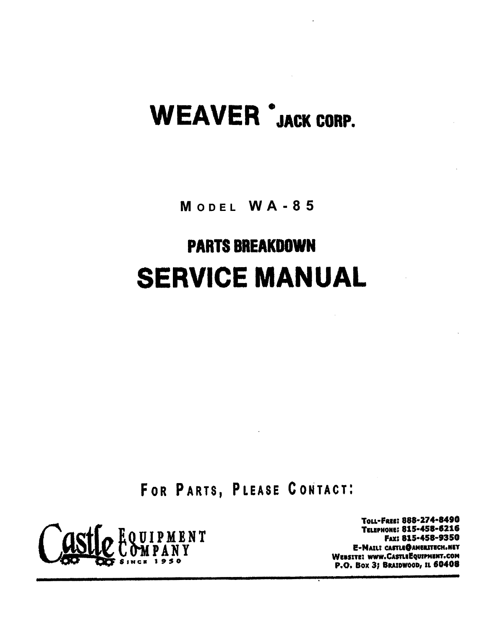# WEAVER 'JACK CORP.

MODEL WA-85

# PARTS BREAKDOWN SERVICE MANUAL

F OR PARTS, PLEASE CONTACT:



Tou-Fall: 888-214-8410 TELEPHONE: 815-458-6216 Fax:815-458-9350 E-MAILI CASTLE@AMERITECH.NET WEBSITE! WWW.CASTLEEQUIPMENT.COM P.O. Box 3; BRAIDWOOD, IL 60408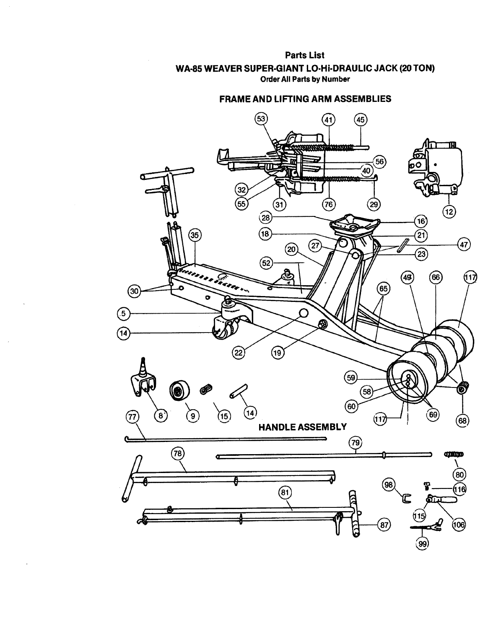### Parts List WA-85 WEAVER SUPER·GIANT LO·Hi·DRAULlC JACK (20 TON) Order All Parts by Number

### **FRAME AND LIFTING ARM ASSEMBLIES**

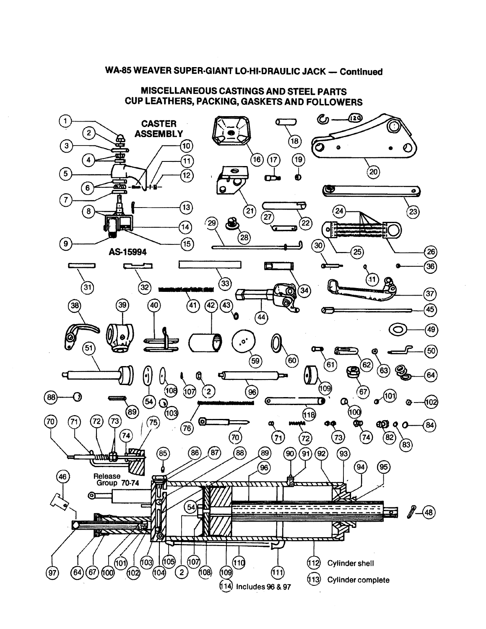### WA-85 WEAVER SUPER-GIANT LO-HI-DRAULIC JACK - Continued

**MISCELLANEOUS CASTINGS AND STEEL PARTS CUP LEATHERS, PACKING, GASKETS AND FOLLOWERS**

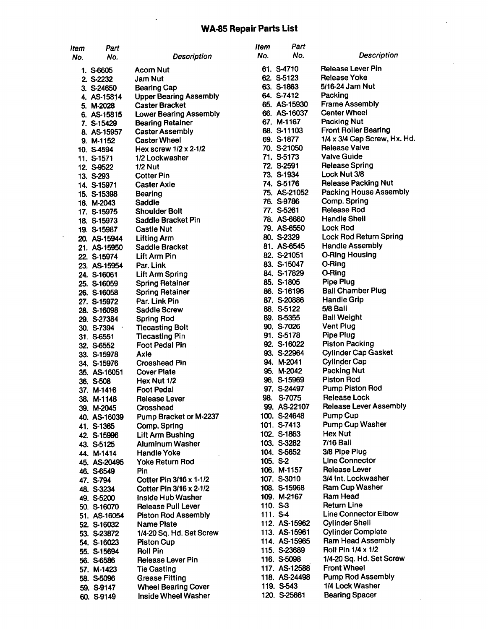### **WA-85 Repair Parts List**

| ltem | Part         |                               | ltem | Part          |                               |
|------|--------------|-------------------------------|------|---------------|-------------------------------|
| No.  | No.          | <b>Description</b>            | No.  | No.           | <b>Description</b>            |
|      | 1. S-6605    | Acorn Nut                     |      | 61. S-4710    | <b>Release Lever Pin</b>      |
|      | 2. S-2232    | Jam Nut                       |      | 62. S-5123    | <b>Release Yoke</b>           |
|      | 3. S-24650   | <b>Bearing Cap</b>            |      | 63. S-1863    | 5/16-24 Jam Nut               |
|      | 4. AS-15814  | <b>Upper Bearing Assembly</b> |      | 64. S-7412    | Packing                       |
|      | 5. M-2028    | <b>Caster Bracket</b>         |      | 65. AS-15930  | <b>Frame Assembly</b>         |
|      | 6. AS-15815  | <b>Lower Bearing Assembly</b> |      | 66. AS-16037  | <b>Center Wheel</b>           |
|      | 7. S-15429   | <b>Bearing Retainer</b>       |      | 67. M-1167    | <b>Packing Nut</b>            |
|      | 8. AS-15957  | <b>Caster Assembly</b>        |      | 68. S-11103   | <b>Front Roller Bearing</b>   |
|      | 9. M-1152    | <b>Caster Wheel</b>           |      | 69. S-1877    | 1/4 x 3/4 Cap Screw, Hx. H    |
|      | 10. S-4594   | Hex screw $1/2 \times 2.1/2$  |      | 70. S-21050   | <b>Release Valve</b>          |
|      | 11. S-1571   | 1/2 Lockwasher                |      | 71. S-5173    | <b>Valve Guide</b>            |
|      | 12. S-9522   | <b>1/2 Nut</b>                |      | 72. S-2591    | <b>Release Spring</b>         |
|      | 13. S-293    | <b>Cotter Pin</b>             |      | 73. S-1934    | Lock Nut 3/8                  |
|      | 14. S-15971  | <b>Caster Axle</b>            |      | 74. S-5176    | <b>Release Packing Nut</b>    |
|      | 15. S-15398  | Bearing                       |      | 75. AS-21052  | <b>Packing House Assembly</b> |
|      | 16. M-2043   | Saddle                        |      | 76. S-9786    | Comp. Spring                  |
|      | 17. S-15975  | <b>Shoulder Bolt</b>          |      | 77. S-5261    | <b>Release Rod</b>            |
|      | 18. S-15973  | <b>Saddle Bracket Pin</b>     |      | 78. AS-6660   | <b>Handle Shell</b>           |
|      | 19. S-15987  | <b>Castle Nut</b>             |      | 79. AS-6550   | <b>Lock Rod</b>               |
|      | 20. AS-15944 | <b>Lifting Arm</b>            |      | 80. S-2329    | Lock Rod Return Spring        |
|      | 21. AS-15950 | Saddle Bracket                |      | 81. AS-6545   | <b>Handle Assembly</b>        |
|      | 22. S-15974  | Lift Arm Pin                  |      | 82. S-21051   | <b>O-Ring Housing</b>         |
|      | 23. AS-15954 | Par. Link                     |      | 83. S-15047   | O-Ring                        |
|      | 24. S-16061  | Lift Arm Spring               |      | 84. S-17829   | O-Ring                        |
|      | 25. S-16059  | <b>Spring Retainer</b>        |      | 85. S-1805    | Pipe Plug                     |
|      | 26. S-16058  | <b>Spring Retainer</b>        |      | 86. S-16196   | <b>Ball Chamber Plug</b>      |
|      | 27. S-15972  | Par. Link Pin                 |      | 87. S-20886   | <b>Handle Grip</b>            |
|      | 28. S-16098  | <b>Saddle Screw</b>           |      | 88. S-5122    | 5/8 Ball                      |
|      | 29. S-27384  | <b>Spring Rod</b>             |      | 89. S-5355    | <b>Ball Weight</b>            |
|      | 30. S-7394   | <b>Tiecasting Bolt</b>        |      | 90. S-7026    | <b>Vent Plug</b>              |
|      | 31. S-6551   | <b>Tiecasting Pin</b>         |      | 91. S-5178    | <b>Pipe Plug</b>              |
|      | 32. S-6552   | Foot Pedal Pin                |      | 92. S-16022   | <b>Piston Packing</b>         |
|      | 33. S-15978  | Axle                          |      | 93. S-22964   | <b>Cylinder Cap Gasket</b>    |
|      | 34. S-15976  | <b>Crosshead Pin</b>          |      | 94. M-2041    | <b>Cylinder Cap</b>           |
|      | 35. AS-16051 | <b>Cover Plate</b>            |      | 95. M-2042    | <b>Packing Nut</b>            |
|      | 36. S-508    | Hex Nut 1/2                   |      | 96. S-15969   | <b>Piston Rod</b>             |
|      | 37. M-1416   | <b>Foot Pedal</b>             |      | 97. S-24497   | <b>Pump Piston Rod</b>        |
|      | 38. M-1148   | <b>Release Lever</b>          | 98.  | S-7075        | <b>Release Lock</b>           |
|      | 39. M-2045   | Crosshead                     |      | 99. AS-22107  | <b>Release Lever Assembly</b> |
|      | 40. AS-16039 | Pump Bracket or M-2237        |      | 100. S-24648  | Pump Cup                      |
|      | 41. S-1365   | Comp. Spring                  |      | 101. S-7413   | <b>Pump Cup Washer</b>        |
|      | 42. S-15996  | Lift Arm Bushing              |      | 102. S-1863   | <b>Hex Nut</b>                |
|      | 43. S-5125   | <b>Aluminum Washer</b>        |      | 103. S-3282   | <b>7/16 Ball</b>              |
|      | 44. M-1414   | <b>Handle Yoke</b>            |      | 104. S-5652   | 3/8 Pipe Plug                 |
|      | 45. AS-20495 | Yoke Return Rod               |      | $105. S-2$    | <b>Line Connector</b>         |
|      | 46. S-6549   | Pin                           |      | 106. M-1157   | <b>Release Lever</b>          |
|      | 47. S-794    | Cotter Pin 3/16 x 1-1/2       |      | 107. S-3010   | 3/4 Int. Lockwasher           |
|      | 48. S-3234   | Cotter Pin 3/16 x 2-1/2       |      | 108. S-15968  | <b>Ram Cup Washer</b>         |
|      | 49. S-5200   | Inside Hub Washer             |      | 109. M-2167   | Ram Head                      |
|      | 50. S-16070  | Release Pull Lever            |      | 110. S-3      | <b>Return Line</b>            |
|      | 51. AS-16054 | <b>Piston Rod Assembly</b>    |      | 111. S-4      | <b>Line Connector Elbow</b>   |
|      | 52. S-16032  | Name Plate                    |      | 112. AS-15962 | <b>Cylinder Shell</b>         |
|      | 53. S-23872  | 1/4-20 Sq. Hd. Set Screw      |      | 113. AS-15961 | <b>Cylinder Complete</b>      |
|      | 54. S-16023  | <b>Piston Cup</b>             |      | 114. AS-15965 | <b>Ram Head Assembly</b>      |
|      | 55. S-15694  | <b>Roll Pin</b>               |      | 115. S-23689  | Roll Pin 1/4 x 1/2            |
|      | 56. S-6586   | <b>Release Lever Pin</b>      |      | 116. S-5098   | 1/4-20 Sq. Hd. Set Screw      |
|      | 57. M-1423   | <b>Tie Casting</b>            |      | 117. AS-12588 | <b>Front Wheel</b>            |
|      | 58. S-5096   | <b>Grease Fitting</b>         |      | 118. AS-24498 | <b>Pump Rod Assembly</b>      |
|      | 59. S-9147   | <b>Wheel Bearing Cover</b>    |      | 119. S-543    | 1/4 Lock Washer               |
|      | 60. S-9149   | Inside Wheel Washer           |      | 120. S-25661  | <b>Bearing Spacer</b>         |

*Description* ease Lever Pin ease Yoke 6-24 Jam Nut cking ime Assembly nter Wheel cking Nut ont Roller Bearing x 3/4 Cap Screw, Hx. Hd. lease Valve **Ive Guide** lease Spring  $ck$  Nut  $3/8$ lease Packing Nut cking House Assembly mp. Spring lease Rod ndle Shell Lock Rod ck Rod Return Spring Indle Assembly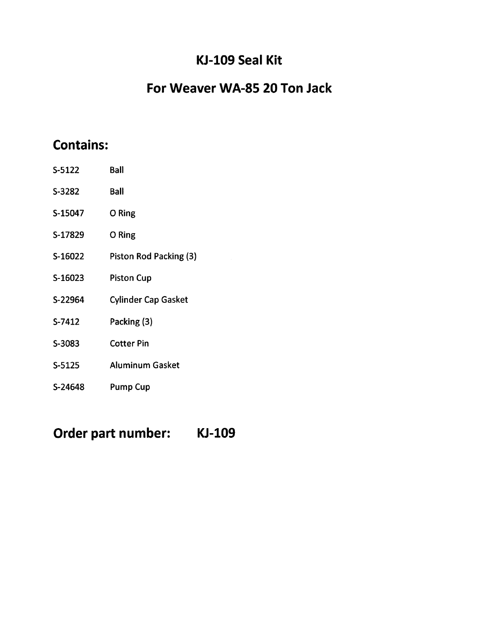## **KJ-l09 Seal Kit**

# **For Weaver WA-85 20 Ton Jack**

# **Contains:**

| S-5122  | Ball                       |
|---------|----------------------------|
| S-3282  | Ball                       |
| S-15047 | O Ring                     |
| S-17829 | O Ring                     |
| S-16022 | Piston Rod Packing (3)     |
| S-16023 | <b>Piston Cup</b>          |
| S-22964 | <b>Cylinder Cap Gasket</b> |
| S-7412  | Packing (3)                |
| S-3083  | Cotter Pin                 |
| S-5125  | <b>Aluminum Gasket</b>     |
| S-24648 | <b>Pump Cup</b>            |

**Order part number:**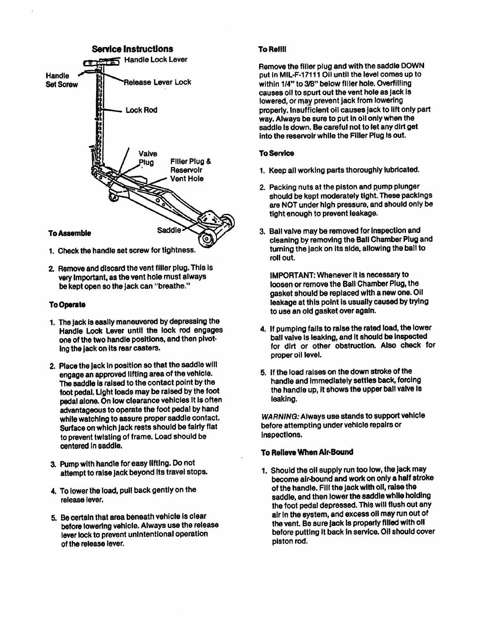

- 1. Check the handle set screw for tightness.
- 2. Remove and discard the vent filler plug. This Is very Important, as the vent hole must always be kept open so the jack can "breathe."

### To Operate

- 1. The jack is easily maneuvered by depressing the Handle Lock Lever until the lock rod engages one of the two handle positions, and then pivot· ing the jack on Its rear casters.
- 2. Place the Jack In position so that the saddle will engage an approved lifting area of the vehicle. The saddle is raised to the contact point by the foot pedal. Light loads may be raised by the foot pedal alone. On low clearance vehicles It Is often advantageous to operate the foot pedal by hand while watching to assure proper saddle contact. Surface on which jack rests should be fairly flat to prevent twisting of frame. Load should be centered in saddle.
- 3. Pump with handle for easy lifting. Do not attempt to raise jack beyond Its travel stops.
- 4. To lower the load, pull back gently on the release lever.
- 5. Becertain that area beneath vehicle Is clear before lowering vehicle. Always use the release lever lock to prevent unintentional operation of the release lever.

### **To Refill**

Remove the filler plug and with the saddle DOWN put In MIL·F·17111 011 until the level comes up to within 1/4" to 3/8" below filler hole. Overfilling causes <sup>011</sup> to spurt out the vent hole as jack Is lowered, or may prevent jack from lowering<br>properly, insufficient oil causes jack to lift only part way. Always be sure to put in oil only when the way. Always be sure to put In <sup>011</sup> only when the saddle Is down. Be careful not to let any dirt get into the reservoir while the Filler Plug Is out.

### **To Service**

- 1. Keep all working parts thoroughly lubricated.
- 2. Packing nuts at the piston and pump plunger should be kept moderately tight. These packlngs are NOT under high pressure, and should only be tight enough to prevent leakage.
- 3. Ball valve may be removed for Inspection and cleaning by removing the Ball Chamber Plug and turning the Jack on Its side, allowing the ball to roll out.

IMPORTANT: Whenever It Is necessary to loosen or remove the Ball Chamber Plug, the gasket should be replaced with a new one. 011 leakage at this point is usually caused by trying to use an old gasket over again.

- 4. If pumping falls to raise the rated load, the lower ball valve Is leaking, and It should be Inspected for dirt or other obstruction. Also check for proper oil level.
- 5. If the load raises on the down stroke of the handle and Immediately settles back, forcing the handle up, it shows the upper ball valve is leaking.

*WARNING: Always use stands to support vehicle* before attempting under vehicle repairs or Inspections.

### To Relieve When Air-Bound

1. Should the 011 supply run too low, the jack may become alr·bound and work on only a half stroke of the handle. Fill the jack with oil, raise the saddle, and then lower the saddle while holding the foot pedal depressed. This will flush out any air In the system, and excess 011 may run out ot the vent. Be sure jack Is properly filled with <sup>011</sup> before putting It back In service. 011 should cover piston rod.